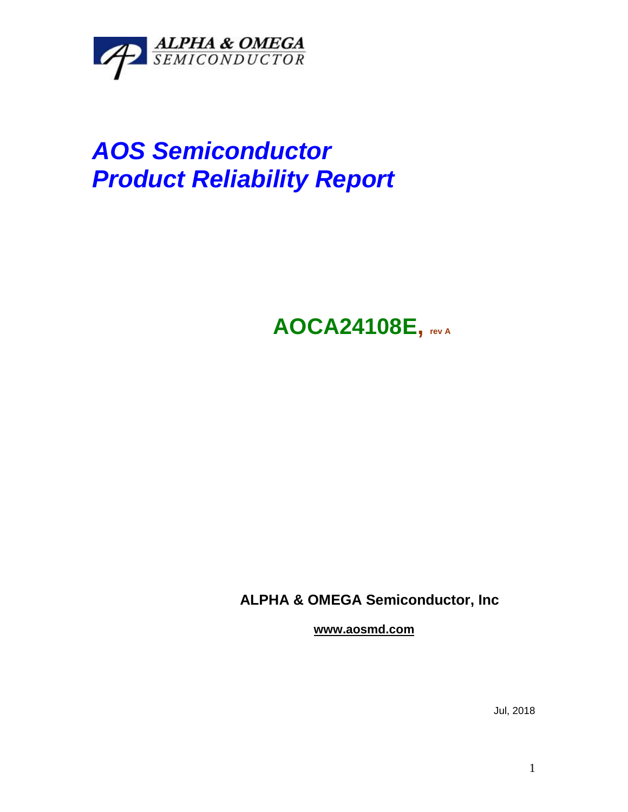

# *AOS Semiconductor Product Reliability Report*

## **AOCA24108E, rev <sup>A</sup>**

### **ALPHA & OMEGA Semiconductor, Inc**

**www.aosmd.com**

Jul, 2018